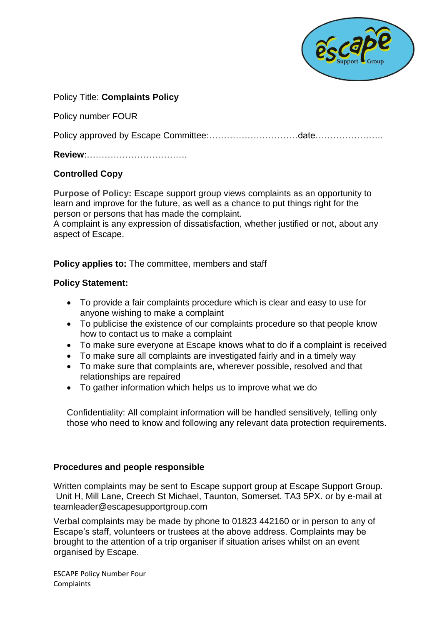

### Policy Title: **Complaints Policy**

Policy number FOUR

Policy approved by Escape Committee:…………………………date…………………..

**Review**:…………………………….

## **Controlled Copy**

**Purpose of Policy:** Escape support group views complaints as an opportunity to learn and improve for the future, as well as a chance to put things right for the person or persons that has made the complaint.

A complaint is any expression of dissatisfaction, whether justified or not, about any aspect of Escape.

**Policy applies to:** The committee, members and staff

### **Policy Statement:**

- To provide a fair complaints procedure which is clear and easy to use for anyone wishing to make a complaint
- To publicise the existence of our complaints procedure so that people know how to contact us to make a complaint
- To make sure everyone at Escape knows what to do if a complaint is received
- To make sure all complaints are investigated fairly and in a timely way
- To make sure that complaints are, wherever possible, resolved and that relationships are repaired
- To gather information which helps us to improve what we do

Confidentiality: All complaint information will be handled sensitively, telling only those who need to know and following any relevant data protection requirements.

#### **Procedures and people responsible**

Written complaints may be sent to Escape support group at Escape Support Group. Unit H, Mill Lane, Creech St Michael, Taunton, Somerset. TA3 5PX. or by e-mail at teamleader@escapesupportgroup.com

Verbal complaints may be made by phone to 01823 442160 or in person to any of Escape's staff, volunteers or trustees at the above address. Complaints may be brought to the attention of a trip organiser if situation arises whilst on an event organised by Escape.

ESCAPE Policy Number Four **Complaints**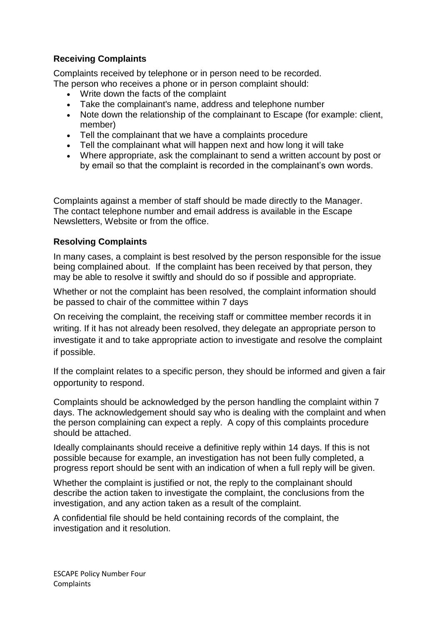# **Receiving Complaints**

Complaints received by telephone or in person need to be recorded. The person who receives a phone or in person complaint should:

- Write down the facts of the complaint
- Take the complainant's name, address and telephone number
- Note down the relationship of the complainant to Escape (for example: client, member)
- Tell the complainant that we have a complaints procedure
- Tell the complainant what will happen next and how long it will take
- Where appropriate, ask the complainant to send a written account by post or by email so that the complaint is recorded in the complainant's own words.

Complaints against a member of staff should be made directly to the Manager. The contact telephone number and email address is available in the Escape Newsletters, Website or from the office.

## **Resolving Complaints**

In many cases, a complaint is best resolved by the person responsible for the issue being complained about. If the complaint has been received by that person, they may be able to resolve it swiftly and should do so if possible and appropriate.

Whether or not the complaint has been resolved, the complaint information should be passed to chair of the committee within 7 days

On receiving the complaint, the receiving staff or committee member records it in writing. If it has not already been resolved, they delegate an appropriate person to investigate it and to take appropriate action to investigate and resolve the complaint if possible.

If the complaint relates to a specific person, they should be informed and given a fair opportunity to respond.

Complaints should be acknowledged by the person handling the complaint within 7 days. The acknowledgement should say who is dealing with the complaint and when the person complaining can expect a reply. A copy of this complaints procedure should be attached.

Ideally complainants should receive a definitive reply within 14 days. If this is not possible because for example, an investigation has not been fully completed, a progress report should be sent with an indication of when a full reply will be given.

Whether the complaint is justified or not, the reply to the complainant should describe the action taken to investigate the complaint, the conclusions from the investigation, and any action taken as a result of the complaint.

A confidential file should be held containing records of the complaint, the investigation and it resolution.